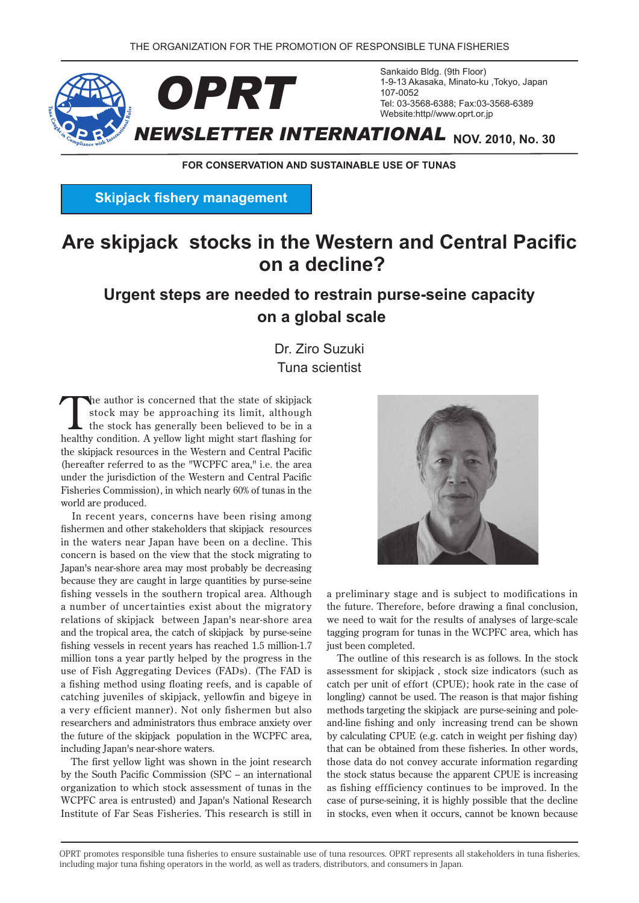

**FOR CONSERVATION AND SUSTAINABLE USE OF TUNAS** 

**Skipjack fishery management** 

# **Are skipjack stocks in the Western and Central Pacific on a decline?**

## **Urgent steps are needed to restrain purse-seine capacity scale global a on**

Dr. Ziro Suzuki **Tuna scientist** 

The author is concerned that the state of skipjack<br>stock may be approaching its limit, although<br>the stock has generally been believed to be in a<br>healthy condition. A valley light wight start fleshing for stock may be approaching its limit, although healthy condition. A yellow light might start flashing for the skipjack resources in the Western and Central Pacific (hereafter referred to as the "WCPFC area," i.e. the area under the jurisdiction of the Western and Central Pacific Fisheries Commission), in which nearly 60% of tunas in the world are produced.

In recent years, concerns have been rising among fishermen and other stakeholders that skipjack resources in the waters near Japan have been on a decline. This concern is based on the view that the stock migrating to Japan's near-shore area may most probably be decreasing because they are caught in large quantities by purse-seine fishing vessels in the southern tropical area. Although a number of uncertainties exist about the migratory relations of skipjack between Japan's near-shore area and the tropical area, the catch of skipjack by purse-seine fishing vessels in recent years has reached 1.5 million-1.7 million tons a year partly helped by the progress in the use of Fish Aggregating Devices (FADs). (The FAD is a fishing method using floating reefs, and is capable of catching juveniles of skipjack, yellowfin and bigeye in a very efficient manner). Not only fishermen but also researchers and administrators thus embrace anxiety over the future of the skipjack population in the WCPFC area, including Japan's near-shore waters.

The first yellow light was shown in the joint research by the South Pacific Commission (SPC -- an international organization to which stock assessment of tunas in the WCPFC area is entrusted) and Japan's National Research Institute of Far Seas Fisheries. This research is still in



a preliminary stage and is subject to modifications in the future. Therefore, before drawing a final conclusion, we need to wait for the results of analyses of large-scale tagging program for tunas in the WCPFC area, which has just been completed.

The outline of this research is as follows. In the stock assessment for skipjack, stock size indicators (such as catch per unit of effort (CPUE); hook rate in the case of longling) cannot be used. The reason is that major fishing and-line fishing and only increasing trend can be shown methods targeting the skipjack are purse-seining and poleby calculating CPUE (e.g. catch in weight per fishing day) that can be obtained from these fisheries. In other words, those data do not convey accurate information regarding the stock status because the apparent CPUE is increasing as fishing effficiency continues to be improved. In the case of purse-seining, it is highly possible that the decline in stocks, even when it occurs, cannot be known because

OPRT promotes responsible tuna fisheries to ensure sustainable use of tuna resources. OPRT represents all stakeholders in tuna fisheries. including major tuna fishing operators in the world, as well as traders, distributors, and consumers in Japan.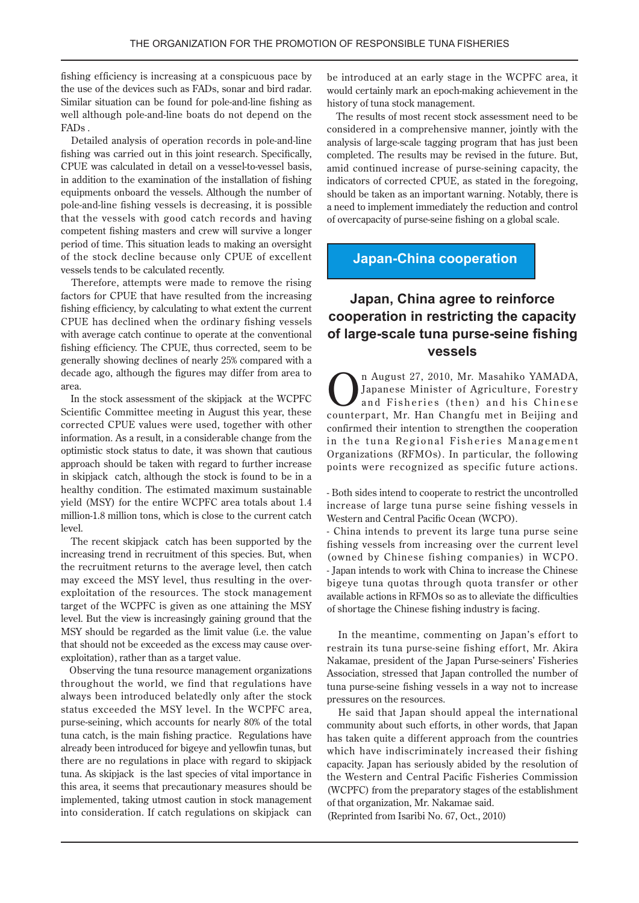fishing efficiency is increasing at a conspicuous pace by the use of the devices such as FADs, sonar and bird radar. Similar situation can be found for pole-and-line fishing as well although pole-and-line boats do not depend on the . FADs

Detailed analysis of operation records in pole-and-line fishing was carried out in this joint research. Specifically, CPUE was calculated in detail on a vessel-to-vessel basis, in addition to the examination of the installation of fishing equipments onboard the vessels. Although the number of pole-and-line fishing vessels is decreasing, it is possible that the vessels with good catch records and having competent fishing masters and crew will survive a longer period of time. This situation leads to making an oversight of the stock decline because only CPUE of excellent vessels tends to be calculated recently.

Therefore, attempts were made to remove the rising factors for CPUE that have resulted from the increasing fishing efficiency, by calculating to what extent the current CPUE has declined when the ordinary fishing vessels with average catch continue to operate at the conventional fishing efficiency. The CPUE, thus corrected, seem to be generally showing declines of nearly 25% compared with a decade ago, although the figures may differ from area to .area

In the stock assessment of the skipjack at the WCPFC Scientific Committee meeting in August this year, these corrected CPUE values were used, together with other information. As a result, in a considerable change from the optimistic stock status to date, it was shown that cautious approach should be taken with regard to further increase in skipjack catch, although the stock is found to be in a healthy condition. The estimated maximum sustainable vield (MSY) for the entire WCPFC area totals about 1.4 million-1.8 million tons, which is close to the current catch .level

The recent skipjack catch has been supported by the increasing trend in recruitment of this species. But, when the recruitment returns to the average level, then catch may exceed the MSY level, thus resulting in the over-<br>exploitation of the resources. The stock management target of the WCPFC is given as one attaining the MSY the that the view is increasingly gaining ground that the MSY should be regarded as the limit value (i.e. the value that should not be exceeded as the excess may cause over-<br>exploitation), rather than as a target value.

Observing the tuna resource management organizations throughout the world, we find that regulations have always been introduced belatedly only after the stock status exceeded the MSY level. In the WCPFC area, purse-seining, which accounts for nearly 80% of the total tuna catch, is the main fishing practice. Regulations have already been introduced for bigeye and yellowfin tunas, but there are no regulations in place with regard to skipjack tuna. As skipjack is the last species of vital importance in this area, it seems that precautionary measures should be implemented, taking utmost caution in stock management into consideration. If catch regulations on skipjack can

be introduced at an early stage in the WCPFC area, it would certainly mark an epoch-making achievement in the history of tuna stock management.

The results of most recent stock assessment need to be considered in a comprehensive manner, jointly with the analysis of large-scale tagging program that has just been completed. The results may be revised in the future. But, amid continued increase of purse-seining capacity, the indicators of corrected CPUE, as stated in the foregoing, should be taken as an important warning. Notably, there is a need to implement immediately the reduction and control of overcapacity of purse-seine fishing on a global scale.

### **Japan-China cooperation**

## **Japan, China agree to reinforce cooperation in restricting the capacity of large-scale tuna purse-seine fishing vessels**

The August 27, 2010, Mr. Masahiko YAMADA,<br>Japanese Minister of Agriculture, Forestry<br>and Fisheries (then) and his Chinese Japanese Minister of Agriculture, Forestry and Fisheries (then) and his Chinese counterpart, Mr. Han Changfu met in Beijing and confirmed their intention to strengthen the cooperation in the tuna Regional Fisheries Management Organizations (RFMOs). In particular, the following points were recognized as specific future actions.

- Both sides intend to cooperate to restrict the uncontrolled increase of large tuna purse seine fishing vessels in Western and Central Pacific Ocean (WCPO).

- China intends to prevent its large tuna purse seine fishing vessels from increasing over the current level (owned by Chinese fishing companies) in WCPO. - Japan intends to work with China to increase the Chinese bigeye tuna quotas through quota transfer or other available actions in RFMOs so as to alleviate the difficulties of shortage the Chinese fishing industry is facing.

In the meantime, commenting on Japan's effort to restrain its tuna purse-seine fishing effort, Mr. Akira Nakamae, president of the Japan Purse-seiners' Fisheries Association, stressed that Japan controlled the number of tuna purse-seine fishing vessels in a way not to increase pressures on the resources.

He said that Japan should appeal the international community about such efforts, in other words, that Japan has taken quite a different approach from the countries which have indiscriminately increased their fishing capacity. Japan has seriously abided by the resolution of the Western and Central Pacific Fisheries Commission (WCPFC) from the preparatory stages of the establishment of that organization, Mr. Nakamae said.

(Reprinted from Isaribi No.  $67$ , Oct.,  $2010$ )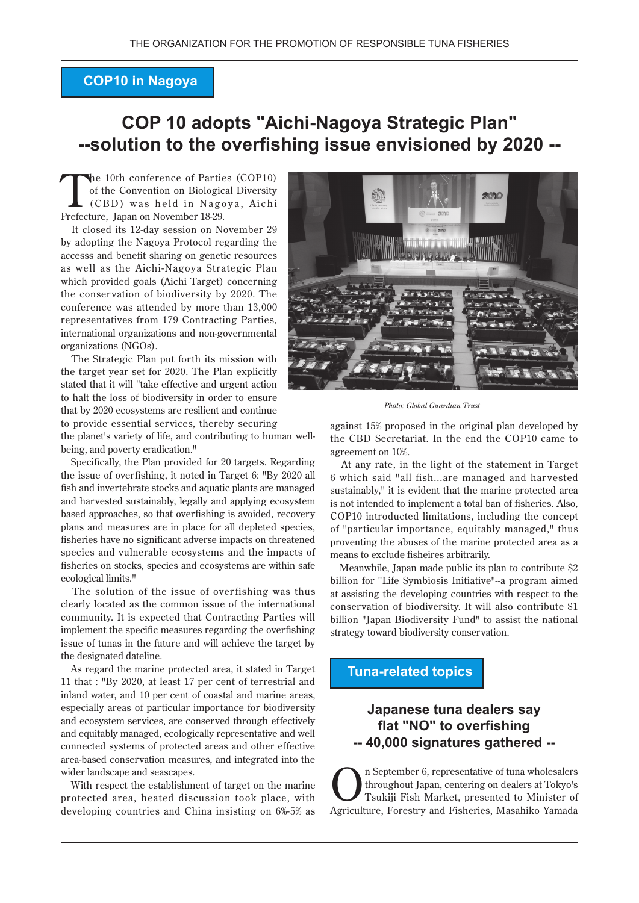### **COP10 in Nagoya**

## **COP 10 adopts "Aichi-Nagoya Strategic Plan" --solution to the overfishing issue envisioned by 2020 --**

The 10th conference of Parties (COP10)<br>
of the Convention on Biological Diversity<br>
(CBD) was held in Nagoya, Aichi of the Convention on Biological Diversity Prefecture, Japan on November 18-29.

It closed its 12-day session on November 29 by adopting the Nagoya Protocol regarding the accesss and benefit sharing on genetic resources as well as the Aichi-Nagoya Strategic Plan which provided goals (Aichi Target) concerning the conservation of biodiversity by 2020. The conference was attended by more than  $13,000$ representatives from 179 Contracting Parties, international organizations and non-governmental organizations (NGOs).

The Strategic Plan put forth its mission with the target year set for  $2020$ . The Plan explicitly stated that it will "take effective and urgent action to halt the loss of biodiversity in order to ensure that by 2020 ecosystems are resilient and continue to provide essential services, thereby securing

the planet's variety of life, and contributing to human well-<br>being, and poverty eradication."

Specifically, the Plan provided for 20 targets. Regarding the issue of overfishing, it noted in Target 6: "By 2020 all fish and invertebrate stocks and aquatic plants are managed and harvested sustainably, legally and applying ecosystem based approaches, so that overfishing is avoided, recovery plans and measures are in place for all depleted species, fisheries have no significant adverse impacts on threatened species and vulnerable ecosystems and the impacts of fisheries on stocks, species and ecosystems are within safe ecological limits."

The solution of the issue of overfishing was thus clearly located as the common issue of the international community. It is expected that Contracting Parties will implement the specific measures regarding the overfishing issue of tunas in the future and will achieve the target by the designated dateline.

As regard the marine protected area, it stated in Target 11 that : "By 2020, at least 17 per cent of terrestrial and inland water, and 10 per cent of coastal and marine areas, especially areas of particular importance for biodiversity and ecosystem services, are conserved through effectively and equitably managed, ecologically representative and well connected systems of protected areas and other effective area-based conservation measures, and integrated into the wider landscape and seascapes.

With respect the establishment of target on the marine protected area, heated discussion took place, with developing countries and China insisting on 6%-5% as



**Photo: Global Guardian Trust** 

against 15% proposed in the original plan developed by the CBD Secretariat. In the end the COP10 came to agreement on 10%.

At any rate, in the light of the statement in Target 6 which said "all fish...are managed and harvested sustainably." it is evident that the marine protected area is not intended to implement a total ban of fisheries. Also, COP10 introducted limitations, including the concept of "particular importance, equitably managed," thus proventing the abuses of the marine protected area as a means to exclude fisheires arbitrarily.

Meanwhile, Japan made public its plan to contribute  $$2$ billion for "Life Symbiosis Initiative"-a program aimed at assisting the developing countries with respect to the conservation of biodiversity. It will also contribute \$1 billion "Japan Biodiversity Fund" to assist the national strategy toward biodiversity conservation.

#### **Tuna-related topics**

### **Japanese tuna dealers say** flat "NO" to overfishing **-- gathered signatures 40,000 --**

n September 6, representative of tuna wholesalers throughout Japan, centering on dealers at Tokyo's Tsukiji Fish Market, presented to Minister of Agriculture, Forestry and Fisheries, Masahiko Yamada